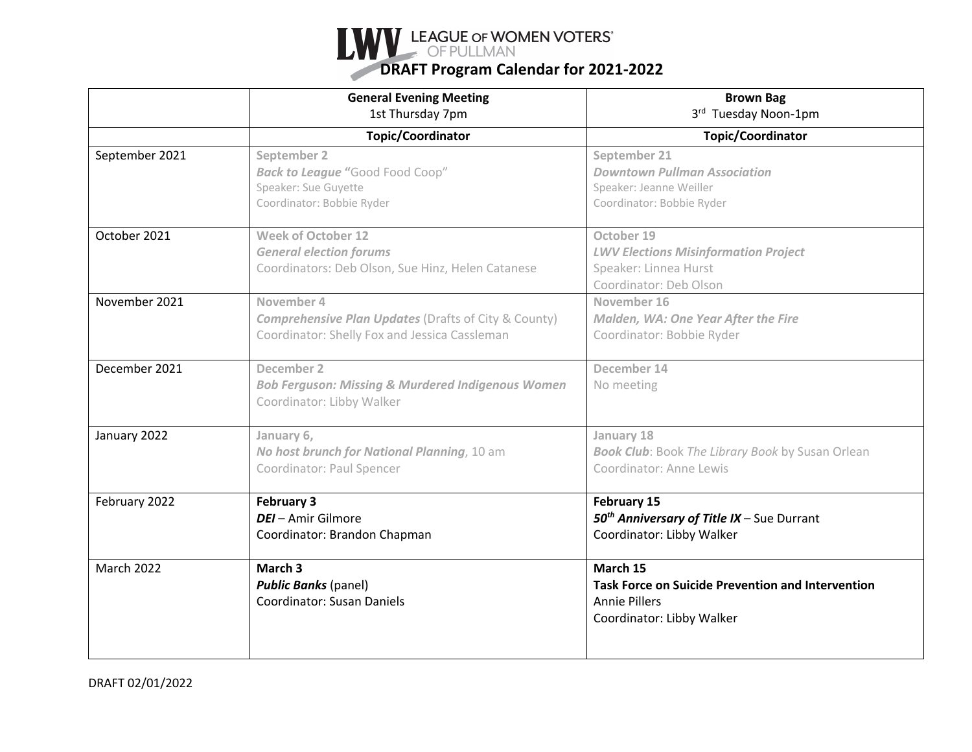

|                   | <b>General Evening Meeting</b><br>1st Thursday 7pm                                                                             | <b>Brown Bag</b><br>3rd Tuesday Noon-1pm                                                                                  |
|-------------------|--------------------------------------------------------------------------------------------------------------------------------|---------------------------------------------------------------------------------------------------------------------------|
|                   | <b>Topic/Coordinator</b>                                                                                                       | <b>Topic/Coordinator</b>                                                                                                  |
| September 2021    | September 2<br><b>Back to League "Good Food Coop"</b><br>Speaker: Sue Guyette<br>Coordinator: Bobbie Ryder                     | September 21<br><b>Downtown Pullman Association</b><br>Speaker: Jeanne Weiller<br>Coordinator: Bobbie Ryder               |
| October 2021      | <b>Week of October 12</b><br><b>General election forums</b><br>Coordinators: Deb Olson, Sue Hinz, Helen Catanese               | October 19<br><b>LWV Elections Misinformation Project</b><br>Speaker: Linnea Hurst<br>Coordinator: Deb Olson              |
| November 2021     | November 4<br><b>Comprehensive Plan Updates (Drafts of City &amp; County)</b><br>Coordinator: Shelly Fox and Jessica Cassleman | November 16<br>Malden, WA: One Year After the Fire<br>Coordinator: Bobbie Ryder                                           |
| December 2021     | December 2<br><b>Bob Ferguson: Missing &amp; Murdered Indigenous Women</b><br>Coordinator: Libby Walker                        | December 14<br>No meeting                                                                                                 |
| January 2022      | January 6,<br>No host brunch for National Planning, 10 am<br>Coordinator: Paul Spencer                                         | January 18<br><b>Book Club:</b> Book The Library Book by Susan Orlean<br>Coordinator: Anne Lewis                          |
| February 2022     | <b>February 3</b><br><b>DEI</b> - Amir Gilmore<br>Coordinator: Brandon Chapman                                                 | February 15<br>50 <sup>th</sup> Anniversary of Title IX - Sue Durrant<br>Coordinator: Libby Walker                        |
| <b>March 2022</b> | March <sub>3</sub><br><b>Public Banks (panel)</b><br><b>Coordinator: Susan Daniels</b>                                         | March 15<br><b>Task Force on Suicide Prevention and Intervention</b><br><b>Annie Pillers</b><br>Coordinator: Libby Walker |